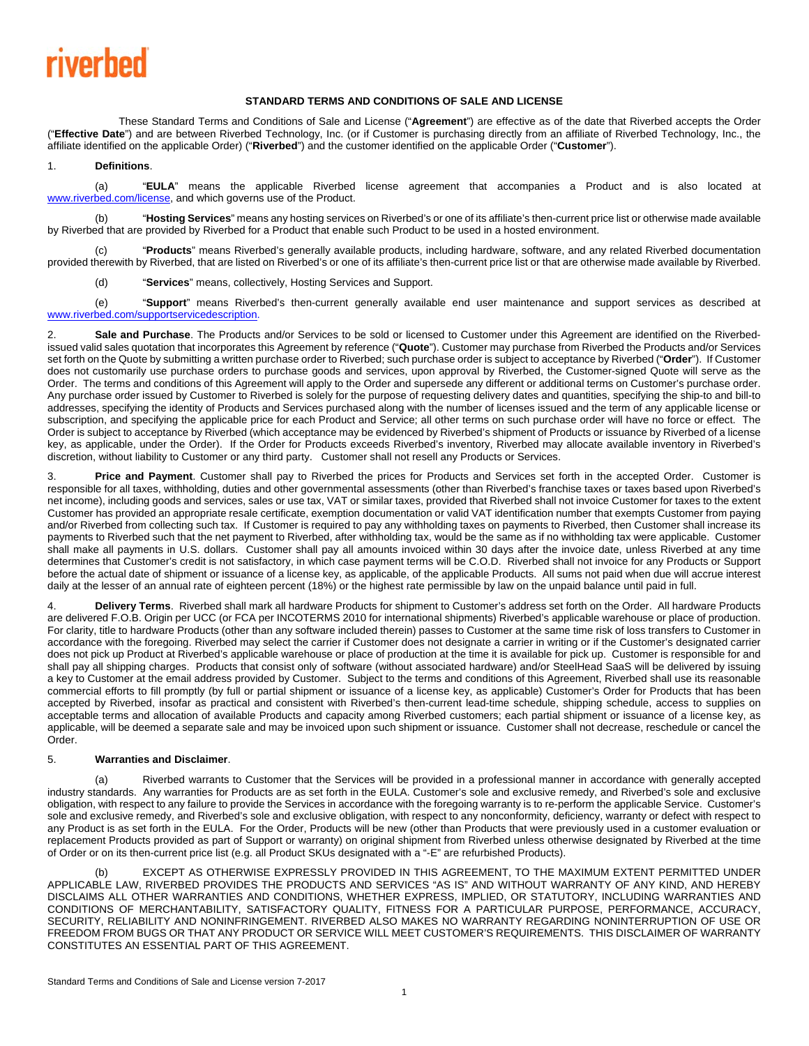## riverhed

### **STANDARD TERMS AND CONDITIONS OF SALE AND LICENSE**

 These Standard Terms and Conditions of Sale and License ("**Agreement**") are effective as of the date that Riverbed accepts the Order ("**Effective Date**") and are between Riverbed Technology, Inc. (or if Customer is purchasing directly from an affiliate of Riverbed Technology, Inc., the affiliate identified on the applicable Order) ("**Riverbed**") and the customer identified on the applicable Order ("**Customer**").

### 1. **Definitions**.

(a) "**EULA**" means the applicable Riverbed license agreement that accompanies a Product and is also located at www.riverbed.com/license, and which governs use of the Product.

(b) "**Hosting Services**" means any hosting services on Riverbed's or one of its affiliate's then-current price list or otherwise made available by Riverbed that are provided by Riverbed for a Product that enable such Product to be used in a hosted environment.

(c) "**Products**" means Riverbed's generally available products, including hardware, software, and any related Riverbed documentation provided therewith by Riverbed, that are listed on Riverbed's or one of its affiliate's then-current price list or that are otherwise made available by Riverbed.

(d) "**Services**" means, collectively, Hosting Services and Support.

(e) "**Support**" means Riverbed's then-current generally available end user maintenance and support services as described at www.riverbed.com/supportservicedescription.

2. **Sale and Purchase**. The Products and/or Services to be sold or licensed to Customer under this Agreement are identified on the Riverbedissued valid sales quotation that incorporates this Agreement by reference ("**Quote**"). Customer may purchase from Riverbed the Products and/or Services set forth on the Quote by submitting a written purchase order to Riverbed; such purchase order is subject to acceptance by Riverbed ("**Order**"). If Customer does not customarily use purchase orders to purchase goods and services, upon approval by Riverbed, the Customer-signed Quote will serve as the Order. The terms and conditions of this Agreement will apply to the Order and supersede any different or additional terms on Customer's purchase order. Any purchase order issued by Customer to Riverbed is solely for the purpose of requesting delivery dates and quantities, specifying the ship-to and bill-to addresses, specifying the identity of Products and Services purchased along with the number of licenses issued and the term of any applicable license or subscription, and specifying the applicable price for each Product and Service; all other terms on such purchase order will have no force or effect. The Order is subject to acceptance by Riverbed (which acceptance may be evidenced by Riverbed's shipment of Products or issuance by Riverbed of a license key, as applicable, under the Order). If the Order for Products exceeds Riverbed's inventory, Riverbed may allocate available inventory in Riverbed's discretion, without liability to Customer or any third party. Customer shall not resell any Products or Services.

3. **Price and Payment**. Customer shall pay to Riverbed the prices for Products and Services set forth in the accepted Order. Customer is responsible for all taxes, withholding, duties and other governmental assessments (other than Riverbed's franchise taxes or taxes based upon Riverbed's net income), including goods and services, sales or use tax, VAT or similar taxes, provided that Riverbed shall not invoice Customer for taxes to the extent Customer has provided an appropriate resale certificate, exemption documentation or valid VAT identification number that exempts Customer from paying and/or Riverbed from collecting such tax. If Customer is required to pay any withholding taxes on payments to Riverbed, then Customer shall increase its payments to Riverbed such that the net payment to Riverbed, after withholding tax, would be the same as if no withholding tax were applicable. Customer shall make all payments in U.S. dollars. Customer shall pay all amounts invoiced within 30 days after the invoice date, unless Riverbed at any time determines that Customer's credit is not satisfactory, in which case payment terms will be C.O.D. Riverbed shall not invoice for any Products or Support before the actual date of shipment or issuance of a license key, as applicable, of the applicable Products. All sums not paid when due will accrue interest daily at the lesser of an annual rate of eighteen percent (18%) or the highest rate permissible by law on the unpaid balance until paid in full.

4. **Delivery Terms**. Riverbed shall mark all hardware Products for shipment to Customer's address set forth on the Order. All hardware Products are delivered F.O.B. Origin per UCC (or FCA per INCOTERMS 2010 for international shipments) Riverbed's applicable warehouse or place of production. For clarity, title to hardware Products (other than any software included therein) passes to Customer at the same time risk of loss transfers to Customer in accordance with the foregoing. Riverbed may select the carrier if Customer does not designate a carrier in writing or if the Customer's designated carrier does not pick up Product at Riverbed's applicable warehouse or place of production at the time it is available for pick up. Customer is responsible for and shall pay all shipping charges. Products that consist only of software (without associated hardware) and/or SteelHead SaaS will be delivered by issuing a key to Customer at the email address provided by Customer. Subject to the terms and conditions of this Agreement, Riverbed shall use its reasonable commercial efforts to fill promptly (by full or partial shipment or issuance of a license key, as applicable) Customer's Order for Products that has been accepted by Riverbed, insofar as practical and consistent with Riverbed's then-current lead-time schedule, shipping schedule, access to supplies on acceptable terms and allocation of available Products and capacity among Riverbed customers; each partial shipment or issuance of a license key, as applicable, will be deemed a separate sale and may be invoiced upon such shipment or issuance. Customer shall not decrease, reschedule or cancel the Order.

#### 5. **Warranties and Disclaimer**.

(a) Riverbed warrants to Customer that the Services will be provided in a professional manner in accordance with generally accepted industry standards. Any warranties for Products are as set forth in the EULA. Customer's sole and exclusive remedy, and Riverbed's sole and exclusive obligation, with respect to any failure to provide the Services in accordance with the foregoing warranty is to re-perform the applicable Service. Customer's sole and exclusive remedy, and Riverbed's sole and exclusive obligation, with respect to any nonconformity, deficiency, warranty or defect with respect to any Product is as set forth in the EULA. For the Order, Products will be new (other than Products that were previously used in a customer evaluation or replacement Products provided as part of Support or warranty) on original shipment from Riverbed unless otherwise designated by Riverbed at the time of Order or on its then-current price list (e.g. all Product SKUs designated with a "-E" are refurbished Products).

EXCEPT AS OTHERWISE EXPRESSLY PROVIDED IN THIS AGREEMENT, TO THE MAXIMUM EXTENT PERMITTED UNDER APPLICABLE LAW, RIVERBED PROVIDES THE PRODUCTS AND SERVICES "AS IS" AND WITHOUT WARRANTY OF ANY KIND, AND HEREBY DISCLAIMS ALL OTHER WARRANTIES AND CONDITIONS, WHETHER EXPRESS, IMPLIED, OR STATUTORY, INCLUDING WARRANTIES AND CONDITIONS OF MERCHANTABILITY, SATISFACTORY QUALITY, FITNESS FOR A PARTICULAR PURPOSE, PERFORMANCE, ACCURACY, SECURITY, RELIABILITY AND NONINFRINGEMENT. RIVERBED ALSO MAKES NO WARRANTY REGARDING NONINTERRUPTION OF USE OR FREEDOM FROM BUGS OR THAT ANY PRODUCT OR SERVICE WILL MEET CUSTOMER'S REQUIREMENTS. THIS DISCLAIMER OF WARRANTY CONSTITUTES AN ESSENTIAL PART OF THIS AGREEMENT.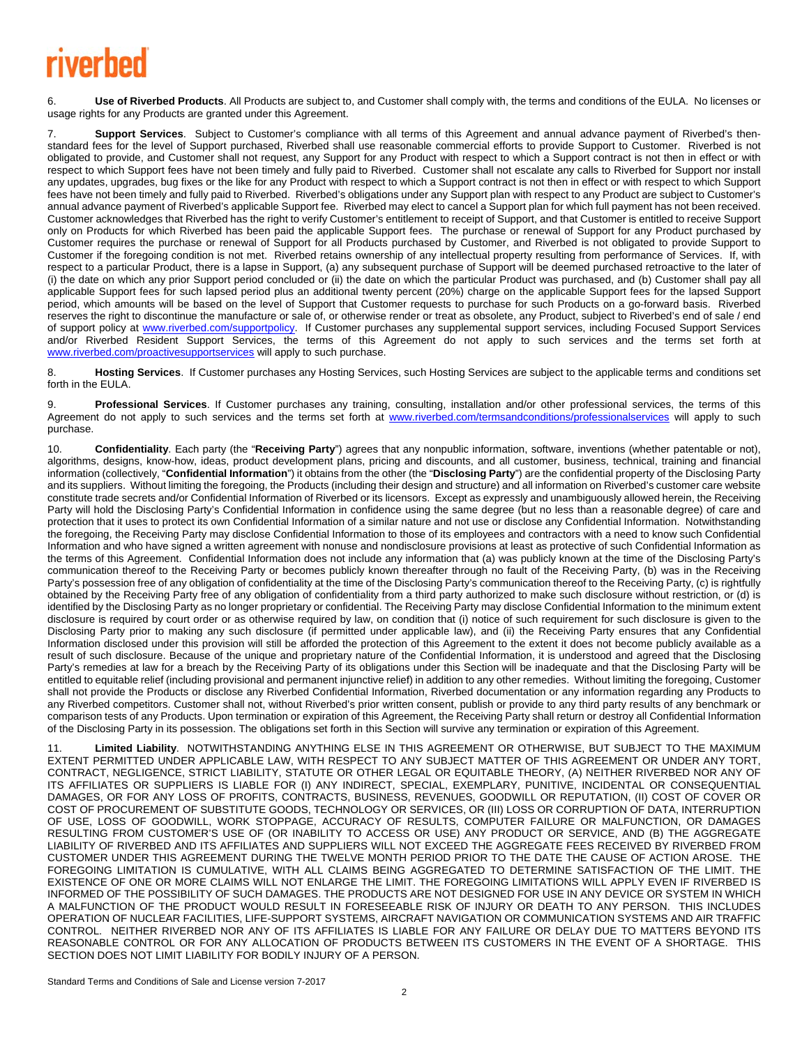# rivorhod

6. **Use of Riverbed Products**. All Products are subject to, and Customer shall comply with, the terms and conditions of the EULA. No licenses or usage rights for any Products are granted under this Agreement.

7. **Support Services**. Subject to Customer's compliance with all terms of this Agreement and annual advance payment of Riverbed's thenstandard fees for the level of Support purchased, Riverbed shall use reasonable commercial efforts to provide Support to Customer. Riverbed is not obligated to provide, and Customer shall not request, any Support for any Product with respect to which a Support contract is not then in effect or with respect to which Support fees have not been timely and fully paid to Riverbed. Customer shall not escalate any calls to Riverbed for Support nor install any updates, upgrades, bug fixes or the like for any Product with respect to which a Support contract is not then in effect or with respect to which Support fees have not been timely and fully paid to Riverbed. Riverbed's obligations under any Support plan with respect to any Product are subject to Customer's annual advance payment of Riverbed's applicable Support fee. Riverbed may elect to cancel a Support plan for which full payment has not been received. Customer acknowledges that Riverbed has the right to verify Customer's entitlement to receipt of Support, and that Customer is entitled to receive Support only on Products for which Riverbed has been paid the applicable Support fees. The purchase or renewal of Support for any Product purchased by Customer requires the purchase or renewal of Support for all Products purchased by Customer, and Riverbed is not obligated to provide Support to Customer if the foregoing condition is not met. Riverbed retains ownership of any intellectual property resulting from performance of Services. If, with respect to a particular Product, there is a lapse in Support, (a) any subsequent purchase of Support will be deemed purchased retroactive to the later of (i) the date on which any prior Support period concluded or (ii) the date on which the particular Product was purchased, and (b) Customer shall pay all applicable Support fees for such lapsed period plus an additional twenty percent (20%) charge on the applicable Support fees for the lapsed Support period, which amounts will be based on the level of Support that Customer requests to purchase for such Products on a go-forward basis. Riverbed reserves the right to discontinue the manufacture or sale of, or otherwise render or treat as obsolete, any Product, subject to Riverbed's end of sale / end of support policy at www.riverbed.com/supportpolicy. If Customer purchases any supplemental support services, including Focused Support Services and/or Riverbed Resident Support Services, the terms of this Agreement do not apply to such services and the terms set forth at www.riverbed.com/proactivesupportservices will apply to such purchase.

8. **Hosting Services**. If Customer purchases any Hosting Services, such Hosting Services are subject to the applicable terms and conditions set forth in the EULA.

9. **Professional Services**. If Customer purchases any training, consulting, installation and/or other professional services, the terms of this Agreement do not apply to such services and the terms set forth at www.riverbed.com/termsandconditions/professionalservices will apply to such purchase.

10. **Confidentiality**. Each party (the "**Receiving Party**") agrees that any nonpublic information, software, inventions (whether patentable or not), algorithms, designs, know-how, ideas, product development plans, pricing and discounts, and all customer, business, technical, training and financial information (collectively, "**Confidential Information**") it obtains from the other (the "**Disclosing Party**") are the confidential property of the Disclosing Party and its suppliers. Without limiting the foregoing, the Products (including their design and structure) and all information on Riverbed's customer care website constitute trade secrets and/or Confidential Information of Riverbed or its licensors. Except as expressly and unambiguously allowed herein, the Receiving Party will hold the Disclosing Party's Confidential Information in confidence using the same degree (but no less than a reasonable degree) of care and protection that it uses to protect its own Confidential Information of a similar nature and not use or disclose any Confidential Information. Notwithstanding the foregoing, the Receiving Party may disclose Confidential Information to those of its employees and contractors with a need to know such Confidential Information and who have signed a written agreement with nonuse and nondisclosure provisions at least as protective of such Confidential Information as the terms of this Agreement. Confidential Information does not include any information that (a) was publicly known at the time of the Disclosing Party's communication thereof to the Receiving Party or becomes publicly known thereafter through no fault of the Receiving Party, (b) was in the Receiving Party's possession free of any obligation of confidentiality at the time of the Disclosing Party's communication thereof to the Receiving Party, (c) is rightfully obtained by the Receiving Party free of any obligation of confidentiality from a third party authorized to make such disclosure without restriction, or (d) is identified by the Disclosing Party as no longer proprietary or confidential. The Receiving Party may disclose Confidential Information to the minimum extent disclosure is required by court order or as otherwise required by law, on condition that (i) notice of such requirement for such disclosure is given to the Disclosing Party prior to making any such disclosure (if permitted under applicable law), and (ii) the Receiving Party ensures that any Confidential Information disclosed under this provision will still be afforded the protection of this Agreement to the extent it does not become publicly available as a result of such disclosure. Because of the unique and proprietary nature of the Confidential Information, it is understood and agreed that the Disclosing Party's remedies at law for a breach by the Receiving Party of its obligations under this Section will be inadequate and that the Disclosing Party will be entitled to equitable relief (including provisional and permanent injunctive relief) in addition to any other remedies. Without limiting the foregoing, Customer shall not provide the Products or disclose any Riverbed Confidential Information, Riverbed documentation or any information regarding any Products to any Riverbed competitors. Customer shall not, without Riverbed's prior written consent, publish or provide to any third party results of any benchmark or comparison tests of any Products. Upon termination or expiration of this Agreement, the Receiving Party shall return or destroy all Confidential Information of the Disclosing Party in its possession. The obligations set forth in this Section will survive any termination or expiration of this Agreement.

11. **Limited Liability**. NOTWITHSTANDING ANYTHING ELSE IN THIS AGREEMENT OR OTHERWISE, BUT SUBJECT TO THE MAXIMUM EXTENT PERMITTED UNDER APPLICABLE LAW, WITH RESPECT TO ANY SUBJECT MATTER OF THIS AGREEMENT OR UNDER ANY TORT, CONTRACT, NEGLIGENCE, STRICT LIABILITY, STATUTE OR OTHER LEGAL OR EQUITABLE THEORY, (A) NEITHER RIVERBED NOR ANY OF ITS AFFILIATES OR SUPPLIERS IS LIABLE FOR (I) ANY INDIRECT, SPECIAL, EXEMPLARY, PUNITIVE, INCIDENTAL OR CONSEQUENTIAL DAMAGES, OR FOR ANY LOSS OF PROFITS, CONTRACTS, BUSINESS, REVENUES, GOODWILL OR REPUTATION, (II) COST OF COVER OR COST OF PROCUREMENT OF SUBSTITUTE GOODS, TECHNOLOGY OR SERVICES, OR (III) LOSS OR CORRUPTION OF DATA, INTERRUPTION OF USE, LOSS OF GOODWILL, WORK STOPPAGE, ACCURACY OF RESULTS, COMPUTER FAILURE OR MALFUNCTION, OR DAMAGES RESULTING FROM CUSTOMER'S USE OF (OR INABILITY TO ACCESS OR USE) ANY PRODUCT OR SERVICE, AND (B) THE AGGREGATE LIABILITY OF RIVERBED AND ITS AFFILIATES AND SUPPLIERS WILL NOT EXCEED THE AGGREGATE FEES RECEIVED BY RIVERBED FROM CUSTOMER UNDER THIS AGREEMENT DURING THE TWELVE MONTH PERIOD PRIOR TO THE DATE THE CAUSE OF ACTION AROSE. THE FOREGOING LIMITATION IS CUMULATIVE, WITH ALL CLAIMS BEING AGGREGATED TO DETERMINE SATISFACTION OF THE LIMIT. THE EXISTENCE OF ONE OR MORE CLAIMS WILL NOT ENLARGE THE LIMIT. THE FOREGOING LIMITATIONS WILL APPLY EVEN IF RIVERBED IS INFORMED OF THE POSSIBILITY OF SUCH DAMAGES. THE PRODUCTS ARE NOT DESIGNED FOR USE IN ANY DEVICE OR SYSTEM IN WHICH A MALFUNCTION OF THE PRODUCT WOULD RESULT IN FORESEEABLE RISK OF INJURY OR DEATH TO ANY PERSON. THIS INCLUDES OPERATION OF NUCLEAR FACILITIES, LIFE-SUPPORT SYSTEMS, AIRCRAFT NAVIGATION OR COMMUNICATION SYSTEMS AND AIR TRAFFIC CONTROL. NEITHER RIVERBED NOR ANY OF ITS AFFILIATES IS LIABLE FOR ANY FAILURE OR DELAY DUE TO MATTERS BEYOND ITS REASONABLE CONTROL OR FOR ANY ALLOCATION OF PRODUCTS BETWEEN ITS CUSTOMERS IN THE EVENT OF A SHORTAGE. THIS SECTION DOES NOT LIMIT LIABILITY FOR BODILY INJURY OF A PERSON.